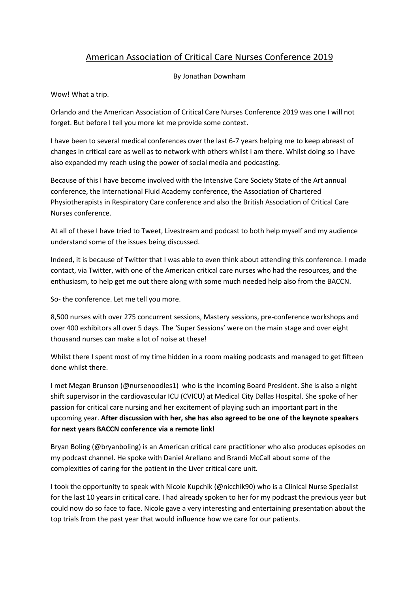## American Association of Critical Care Nurses Conference 2019

By Jonathan Downham

Wow! What a trip.

Orlando and the American Association of Critical Care Nurses Conference 2019 was one I will not forget. But before I tell you more let me provide some context.

I have been to several medical conferences over the last 6-7 years helping me to keep abreast of changes in critical care as well as to network with others whilst I am there. Whilst doing so I have also expanded my reach using the power of social media and podcasting.

Because of this I have become involved with the Intensive Care Society State of the Art annual conference, the International Fluid Academy conference, the Association of Chartered Physiotherapists in Respiratory Care conference and also the British Association of Critical Care Nurses conference.

At all of these I have tried to Tweet, Livestream and podcast to both help myself and my audience understand some of the issues being discussed.

Indeed, it is because of Twitter that I was able to even think about attending this conference. I made contact, via Twitter, with one of the American critical care nurses who had the resources, and the enthusiasm, to help get me out there along with some much needed help also from the BACCN.

So- the conference. Let me tell you more.

8,500 nurses with over 275 concurrent sessions, Mastery sessions, pre-conference workshops and over 400 exhibitors all over 5 days. The 'Super Sessions' were on the main stage and over eight thousand nurses can make a lot of noise at these!

Whilst there I spent most of my time hidden in a room making podcasts and managed to get fifteen done whilst there.

I met Megan Brunson (@nursenoodles1) who is the incoming Board President. She is also a night shift supervisor in the cardiovascular ICU (CVICU) at Medical City Dallas Hospital. She spoke of her passion for critical care nursing and her excitement of playing such an important part in the upcoming year. **After discussion with her, she has also agreed to be one of the keynote speakers for next years BACCN conference via a remote link!**

Bryan Boling (@bryanboling) is an American critical care practitioner who also produces episodes on my podcast channel. He spoke with Daniel Arellano and Brandi McCall about some of the complexities of caring for the patient in the Liver critical care unit.

I took the opportunity to speak with Nicole Kupchik (@nicchik90) who is a Clinical Nurse Specialist for the last 10 years in critical care. I had already spoken to her for my podcast the previous year but could now do so face to face. Nicole gave a very interesting and entertaining presentation about the top trials from the past year that would influence how we care for our patients.